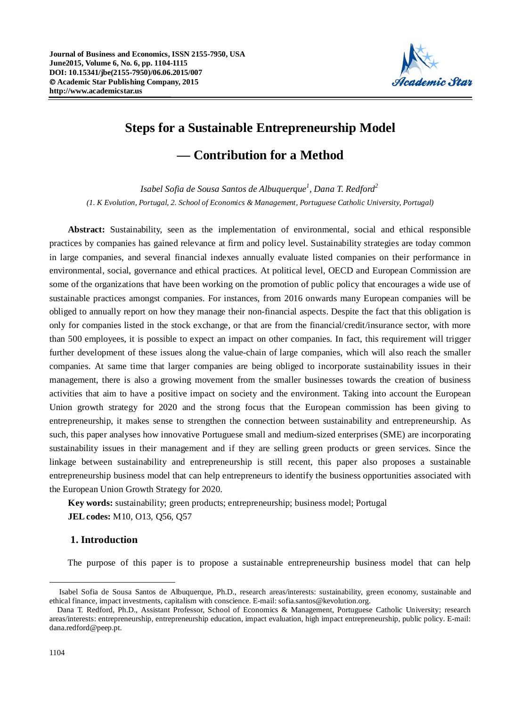

# **Steps for a Sustainable Entrepreneurship Model**

# **— Contribution for a Method**

*Isabel Sofia de Sousa Santos de Albuquerque<sup>1</sup> , Dana T. Redford<sup>2</sup> (1. K Evolution, Portugal, 2. School of Economics & Management, Portuguese Catholic University, Portugal)*

**Abstract:** Sustainability, seen as the implementation of environmental, social and ethical responsible practices by companies has gained relevance at firm and policy level. Sustainability strategies are today common in large companies, and several financial indexes annually evaluate listed companies on their performance in environmental, social, governance and ethical practices. At political level, OECD and European Commission are some of the organizations that have been working on the promotion of public policy that encourages a wide use of sustainable practices amongst companies. For instances, from 2016 onwards many European companies will be obliged to annually report on how they manage their non-financial aspects. Despite the fact that this obligation is only for companies listed in the stock exchange, or that are from the financial/credit/insurance sector, with more than 500 employees, it is possible to expect an impact on other companies. In fact, this requirement will trigger further development of these issues along the value-chain of large companies, which will also reach the smaller companies. At same time that larger companies are being obliged to incorporate sustainability issues in their management, there is also a growing movement from the smaller businesses towards the creation of business activities that aim to have a positive impact on society and the environment. Taking into account the European Union growth strategy for 2020 and the strong focus that the European commission has been giving to entrepreneurship, it makes sense to strengthen the connection between sustainability and entrepreneurship. As such, this paper analyses how innovative Portuguese small and medium-sized enterprises (SME) are incorporating sustainability issues in their management and if they are selling green products or green services. Since the linkage between sustainability and entrepreneurship is still recent, this paper also proposes a sustainable entrepreneurship business model that can help entrepreneurs to identify the business opportunities associated with the European Union Growth Strategy for 2020.

**Key words:** sustainability; green products; entrepreneurship; business model; Portugal **JEL codes:** M10, O13, Q56, Q57

# **1. Introduction**

The purpose of this paper is to propose a sustainable entrepreneurship business model that can help

 $\overline{a}$ 

Isabel Sofia de Sousa Santos de Albuquerque, Ph.D., research areas/interests: sustainability, green economy, sustainable and ethical finance, impact investments, capitalism with conscience. E-mail: sofia.santos@kevolution.org.

Dana T. Redford, Ph.D., Assistant Professor, School of Economics & Management, Portuguese Catholic University; research areas/interests: entrepreneurship, entrepreneurship education, impact evaluation, high impact entrepreneurship, public policy. E-mail: dana.redford@peep.pt.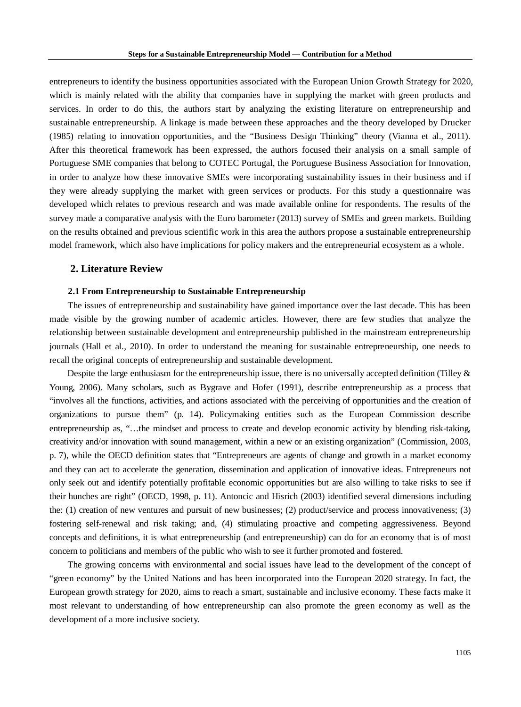entrepreneurs to identify the business opportunities associated with the European Union Growth Strategy for 2020, which is mainly related with the ability that companies have in supplying the market with green products and services. In order to do this, the authors start by analyzing the existing literature on entrepreneurship and sustainable entrepreneurship. A linkage is made between these approaches and the theory developed by Drucker (1985) relating to innovation opportunities, and the "Business Design Thinking" theory (Vianna et al., 2011). After this theoretical framework has been expressed, the authors focused their analysis on a small sample of Portuguese SME companies that belong to COTEC Portugal, the Portuguese Business Association for Innovation, in order to analyze how these innovative SMEs were incorporating sustainability issues in their business and if they were already supplying the market with green services or products. For this study a questionnaire was developed which relates to previous research and was made available online for respondents. The results of the survey made a comparative analysis with the Euro barometer (2013) survey of SMEs and green markets. Building on the results obtained and previous scientific work in this area the authors propose a sustainable entrepreneurship model framework, which also have implications for policy makers and the entrepreneurial ecosystem as a whole.

## **2. Literature Review**

#### **2.1 From Entrepreneurship to Sustainable Entrepreneurship**

The issues of entrepreneurship and sustainability have gained importance over the last decade. This has been made visible by the growing number of academic articles. However, there are few studies that analyze the relationship between sustainable development and entrepreneurship published in the mainstream entrepreneurship journals (Hall et al., 2010). In order to understand the meaning for sustainable entrepreneurship, one needs to recall the original concepts of entrepreneurship and sustainable development.

Despite the large enthusiasm for the entrepreneurship issue, there is no universally accepted definition (Tilley & Young, 2006). Many scholars, such as Bygrave and Hofer (1991), describe entrepreneurship as a process that "involves all the functions, activities, and actions associated with the perceiving of opportunities and the creation of organizations to pursue them" (p. 14). Policymaking entities such as the European Commission describe entrepreneurship as, "…the mindset and process to create and develop economic activity by blending risk-taking, creativity and/or innovation with sound management, within a new or an existing organization" (Commission, 2003, p. 7), while the OECD definition states that "Entrepreneurs are agents of change and growth in a market economy and they can act to accelerate the generation, dissemination and application of innovative ideas. Entrepreneurs not only seek out and identify potentially profitable economic opportunities but are also willing to take risks to see if their hunches are right" (OECD, 1998, p. 11). Antoncic and Hisrich (2003) identified several dimensions including the: (1) creation of new ventures and pursuit of new businesses; (2) product/service and process innovativeness; (3) fostering self-renewal and risk taking; and, (4) stimulating proactive and competing aggressiveness. Beyond concepts and definitions, it is what entrepreneurship (and entrepreneurship) can do for an economy that is of most concern to politicians and members of the public who wish to see it further promoted and fostered.

The growing concerns with environmental and social issues have lead to the development of the concept of "green economy" by the United Nations and has been incorporated into the European 2020 strategy. In fact, the European growth strategy for 2020, aims to reach a smart, sustainable and inclusive economy. These facts make it most relevant to understanding of how entrepreneurship can also promote the green economy as well as the development of a more inclusive society.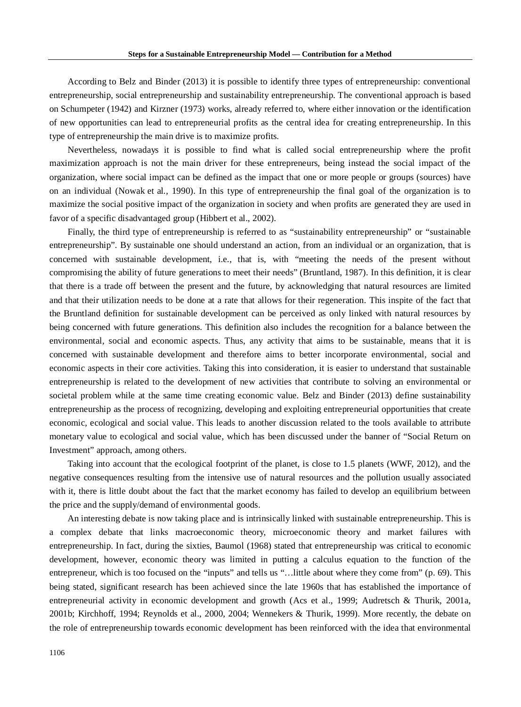According to Belz and Binder (2013) it is possible to identify three types of entrepreneurship: conventional entrepreneurship, social entrepreneurship and sustainability entrepreneurship. The conventional approach is based on Schumpeter (1942) and Kirzner (1973) works, already referred to, where either innovation or the identification of new opportunities can lead to entrepreneurial profits as the central idea for creating entrepreneurship. In this type of entrepreneurship the main drive is to maximize profits.

Nevertheless, nowadays it is possible to find what is called social entrepreneurship where the profit maximization approach is not the main driver for these entrepreneurs, being instead the social impact of the organization, where social impact can be defined as the impact that one or more people or groups (sources) have on an individual (Nowak et al., 1990). In this type of entrepreneurship the final goal of the organization is to maximize the social positive impact of the organization in society and when profits are generated they are used in favor of a specific disadvantaged group (Hibbert et al., 2002).

Finally, the third type of entrepreneurship is referred to as "sustainability entrepreneurship" or "sustainable entrepreneurship". By sustainable one should understand an action, from an individual or an organization, that is concerned with sustainable development, i.e., that is, with "meeting the needs of the present without compromising the ability of future generations to meet their needs" (Bruntland, 1987). In this definition, it is clear that there is a trade off between the present and the future, by acknowledging that natural resources are limited and that their utilization needs to be done at a rate that allows for their regeneration. This inspite of the fact that the Bruntland definition for sustainable development can be perceived as only linked with natural resources by being concerned with future generations. This definition also includes the recognition for a balance between the environmental, social and economic aspects. Thus, any activity that aims to be sustainable, means that it is concerned with sustainable development and therefore aims to better incorporate environmental, social and economic aspects in their core activities. Taking this into consideration, it is easier to understand that sustainable entrepreneurship is related to the development of new activities that contribute to solving an environmental or societal problem while at the same time creating economic value. Belz and Binder (2013) define sustainability entrepreneurship as the process of recognizing, developing and exploiting entrepreneurial opportunities that create economic, ecological and social value. This leads to another discussion related to the tools available to attribute monetary value to ecological and social value, which has been discussed under the banner of "Social Return on Investment" approach, among others.

Taking into account that the ecological footprint of the planet, is close to 1.5 planets (WWF, 2012), and the negative consequences resulting from the intensive use of natural resources and the pollution usually associated with it, there is little doubt about the fact that the market economy has failed to develop an equilibrium between the price and the supply/demand of environmental goods.

An interesting debate is now taking place and is intrinsically linked with sustainable entrepreneurship. This is a complex debate that links macroeconomic theory, microeconomic theory and market failures with entrepreneurship. In fact, during the sixties, Baumol (1968) stated that entrepreneurship was critical to economic development, however, economic theory was limited in putting a calculus equation to the function of the entrepreneur, which is too focused on the "inputs" and tells us "…little about where they come from" (p. 69). This being stated, significant research has been achieved since the late 1960s that has established the importance of entrepreneurial activity in economic development and growth (Acs et al., 1999; Audretsch & Thurik, 2001a, 2001b; Kirchhoff, 1994; Reynolds et al., 2000, 2004; Wennekers & Thurik, 1999). More recently, the debate on the role of entrepreneurship towards economic development has been reinforced with the idea that environmental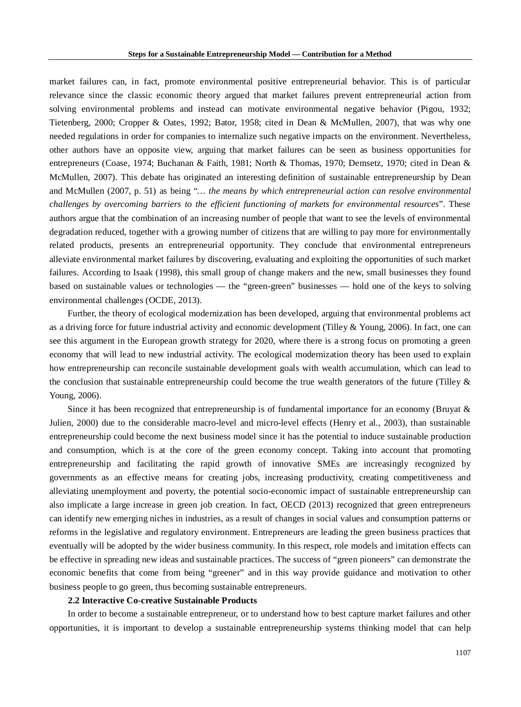market failures can, in fact, promote environmental positive entrepreneurial behavior. This is of particular relevance since the classic economic theory argued that market failures prevent entrepreneurial action from solving environmental problems and instead can motivate environmental negative behavior (Pigou, 1932; Tietenberg, 2000; Cropper & Oates, 1992; Bator, 1958; cited in Dean & McMullen, 2007), that was why one needed regulations in order for companies to internalize such negative impacts on the environment. Nevertheless, other authors have an opposite view, arguing that market failures can be seen as business opportunities for entrepreneurs (Coase, 1974; Buchanan & Faith, 1981; North & Thomas, 1970; Demsetz, 1970; cited in Dean & McMullen, 2007). This debate has originated an interesting definition of sustainable entrepreneurship by Dean and McMullen (2007, p. 51) as being "*… the means by which entrepreneurial action can resolve environmental challenges by overcoming barriers to the efficient functioning of markets for environmental resources*". These authors argue that the combination of an increasing number of people that want to see the levels of environmental degradation reduced, together with a growing number of citizens that are willing to pay more for environmentally related products, presents an entrepreneurial opportunity. They conclude that environmental entrepreneurs alleviate environmental market failures by discovering, evaluating and exploiting the opportunities of such market failures. According to Isaak (1998), this small group of change makers and the new, small businesses they found based on sustainable values or technologies — the "green-green" businesses — hold one of the keys to solving environmental challenges (OCDE, 2013).

Further, the theory of ecological modernization has been developed, arguing that environmental problems act as a driving force for future industrial activity and economic development (Tilley & Young, 2006). In fact, one can see this argument in the European growth strategy for 2020, where there is a strong focus on promoting a green economy that will lead to new industrial activity. The ecological modernization theory has been used to explain how entrepreneurship can reconcile sustainable development goals with wealth accumulation, which can lead to the conclusion that sustainable entrepreneurship could become the true wealth generators of the future (Tilley  $\&$ Young, 2006).

Since it has been recognized that entrepreneurship is of fundamental importance for an economy (Bruyat & Julien, 2000) due to the considerable macro-level and micro-level effects (Henry et al., 2003), than sustainable entrepreneurship could become the next business model since it has the potential to induce sustainable production and consumption, which is at the core of the green economy concept. Taking into account that promoting entrepreneurship and facilitating the rapid growth of innovative SMEs are increasingly recognized by governments as an effective means for creating jobs, increasing productivity, creating competitiveness and alleviating unemployment and poverty, the potential socio-economic impact of sustainable entrepreneurship can also implicate a large increase in green job creation. In fact, OECD (2013) recognized that green entrepreneurs can identify new emerging niches in industries, as a result of changes in social values and consumption patterns or reforms in the legislative and regulatory environment. Entrepreneurs are leading the green business practices that eventually will be adopted by the wider business community. In this respect, role models and imitation effects can be effective in spreading new ideas and sustainable practices. The success of "green pioneers" can demonstrate the economic benefits that come from being "greener" and in this way provide guidance and motivation to other business people to go green, thus becoming sustainable entrepreneurs.

### **2.2 Interactive Co-creative Sustainable Products**

In order to become a sustainable entrepreneur, or to understand how to best capture market failures and other opportunities, it is important to develop a sustainable entrepreneurship systems thinking model that can help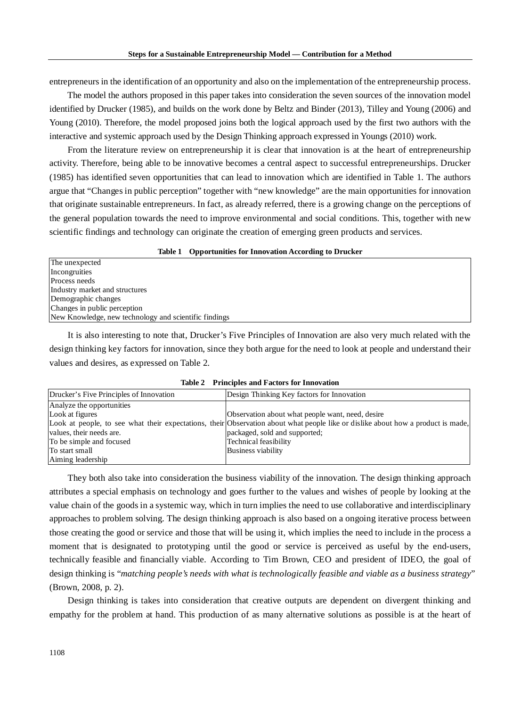entrepreneurs in the identification of an opportunity and also on the implementation of the entrepreneurship process.

The model the authors proposed in this paper takes into consideration the seven sources of the innovation model identified by Drucker (1985), and builds on the work done by Beltz and Binder (2013), Tilley and Young (2006) and Young (2010). Therefore, the model proposed joins both the logical approach used by the first two authors with the interactive and systemic approach used by the Design Thinking approach expressed in Youngs (2010) work.

From the literature review on entrepreneurship it is clear that innovation is at the heart of entrepreneurship activity. Therefore, being able to be innovative becomes a central aspect to successful entrepreneurships. Drucker (1985) has identified seven opportunities that can lead to innovation which are identified in Table 1. The authors argue that "Changes in public perception" together with "new knowledge" are the main opportunities for innovation that originate sustainable entrepreneurs. In fact, as already referred, there is a growing change on the perceptions of the general population towards the need to improve environmental and social conditions. This, together with new scientific findings and technology can originate the creation of emerging green products and services.

#### **Table 1 Opportunities for Innovation According to Drucker**

| The unexpected                                        |
|-------------------------------------------------------|
| Incongruities                                         |
| Process needs                                         |
| Industry market and structures                        |
| Demographic changes                                   |
| Changes in public perception                          |
| New Knowledge, new technology and scientific findings |

It is also interesting to note that, Drucker's Five Principles of Innovation are also very much related with the design thinking key factors for innovation, since they both argue for the need to look at people and understand their values and desires, as expressed on Table 2.

| Drucker's Five Principles of Innovation | Design Thinking Key factors for Innovation                                                                                       |
|-----------------------------------------|----------------------------------------------------------------------------------------------------------------------------------|
| Analyze the opportunities               |                                                                                                                                  |
| Look at figures                         | Observation about what people want, need, desire                                                                                 |
|                                         | Look at people, to see what their expectations, their Observation about what people like or dislike about how a product is made, |
| values, their needs are.                | packaged, sold and supported;                                                                                                    |
| To be simple and focused                | Technical feasibility                                                                                                            |
| To start small                          | <b>Business viability</b>                                                                                                        |
| Aiming leadership                       |                                                                                                                                  |

| <b>Table 2</b> Principles and Factors for Innovation |
|------------------------------------------------------|
|------------------------------------------------------|

They both also take into consideration the business viability of the innovation. The design thinking approach attributes a special emphasis on technology and goes further to the values and wishes of people by looking at the value chain of the goods in a systemic way, which in turn implies the need to use collaborative and interdisciplinary approaches to problem solving. The design thinking approach is also based on a ongoing iterative process between those creating the good or service and those that will be using it, which implies the need to include in the process a moment that is designated to prototyping until the good or service is perceived as useful by the end-users, technically feasible and financially viable. According to Tim Brown, CEO and president of IDEO, the goal of design thinking is "*matching people's needs with what is technologically feasible and viable as a business strategy*" (Brown, 2008, p. 2).

Design thinking is takes into consideration that creative outputs are dependent on divergent thinking and empathy for the problem at hand. This production of as many alternative solutions as possible is at the heart of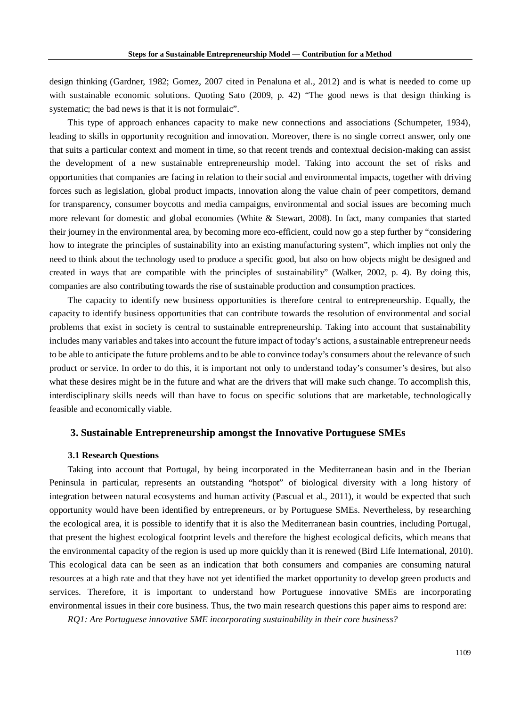design thinking (Gardner, 1982; Gomez, 2007 cited in Penaluna et al., 2012) and is what is needed to come up with sustainable economic solutions. Quoting Sato (2009, p. 42) "The good news is that design thinking is systematic; the bad news is that it is not formulaic".

This type of approach enhances capacity to make new connections and associations (Schumpeter, 1934), leading to skills in opportunity recognition and innovation. Moreover, there is no single correct answer, only one that suits a particular context and moment in time, so that recent trends and contextual decision-making can assist the development of a new sustainable entrepreneurship model. Taking into account the set of risks and opportunities that companies are facing in relation to their social and environmental impacts, together with driving forces such as legislation, global product impacts, innovation along the value chain of peer competitors, demand for transparency, consumer boycotts and media campaigns, environmental and social issues are becoming much more relevant for domestic and global economies (White & Stewart, 2008). In fact, many companies that started their journey in the environmental area, by becoming more eco-efficient, could now go a step further by "considering how to integrate the principles of sustainability into an existing manufacturing system", which implies not only the need to think about the technology used to produce a specific good, but also on how objects might be designed and created in ways that are compatible with the principles of sustainability" (Walker, 2002, p. 4). By doing this, companies are also contributing towards the rise of sustainable production and consumption practices.

The capacity to identify new business opportunities is therefore central to entrepreneurship. Equally, the capacity to identify business opportunities that can contribute towards the resolution of environmental and social problems that exist in society is central to sustainable entrepreneurship. Taking into account that sustainability includes many variables and takes into account the future impact of today's actions, a sustainable entrepreneur needs to be able to anticipate the future problems and to be able to convince today's consumers about the relevance of such product or service. In order to do this, it is important not only to understand today's consumer's desires, but also what these desires might be in the future and what are the drivers that will make such change. To accomplish this, interdisciplinary skills needs will than have to focus on specific solutions that are marketable, technologically feasible and economically viable.

# **3. Sustainable Entrepreneurship amongst the Innovative Portuguese SMEs**

#### **3.1 Research Questions**

Taking into account that Portugal, by being incorporated in the Mediterranean basin and in the Iberian Peninsula in particular, represents an outstanding "hotspot" of biological diversity with a long history of integration between natural ecosystems and human activity (Pascual et al., 2011), it would be expected that such opportunity would have been identified by entrepreneurs, or by Portuguese SMEs. Nevertheless, by researching the ecological area, it is possible to identify that it is also the Mediterranean basin countries, including Portugal, that present the highest ecological footprint levels and therefore the highest ecological deficits, which means that the environmental capacity of the region is used up more quickly than it is renewed (Bird Life International, 2010). This ecological data can be seen as an indication that both consumers and companies are consuming natural resources at a high rate and that they have not yet identified the market opportunity to develop green products and services. Therefore, it is important to understand how Portuguese innovative SMEs are incorporating environmental issues in their core business. Thus, the two main research questions this paper aims to respond are:

*RQ1: Are Portuguese innovative SME incorporating sustainability in their core business?*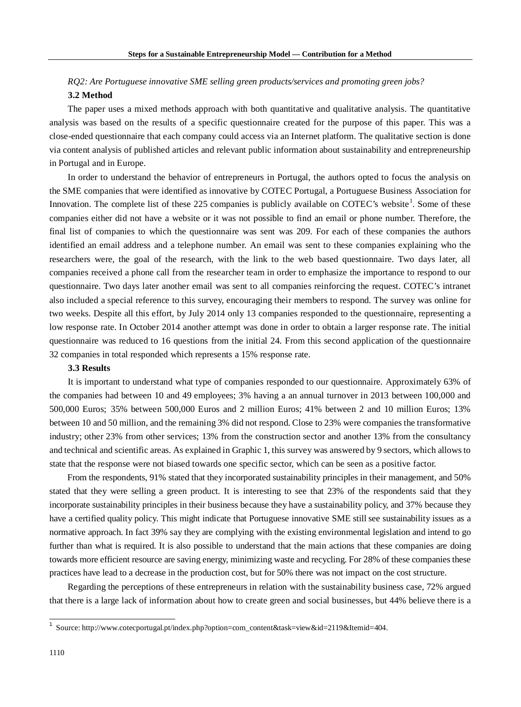# *RQ2: Are Portuguese innovative SME selling green products/services and promoting green jobs?* **3.2 Method**

The paper uses a mixed methods approach with both quantitative and qualitative analysis. The quantitative analysis was based on the results of a specific questionnaire created for the purpose of this paper. This was a close-ended questionnaire that each company could access via an Internet platform. The qualitative section is done via content analysis of published articles and relevant public information about sustainability and entrepreneurship in Portugal and in Europe.

In order to understand the behavior of entrepreneurs in Portugal, the authors opted to focus the analysis on the SME companies that were identified as innovative by COTEC Portugal, a Portuguese Business Association for Innovation. The complete list of these 225 companies is publicly available on COTEC's website<sup>[1](#page-6-0)</sup>. Some of these companies either did not have a website or it was not possible to find an email or phone number. Therefore, the final list of companies to which the questionnaire was sent was 209. For each of these companies the authors identified an email address and a telephone number. An email was sent to these companies explaining who the researchers were, the goal of the research, with the link to the web based questionnaire. Two days later, all companies received a phone call from the researcher team in order to emphasize the importance to respond to our questionnaire. Two days later another email was sent to all companies reinforcing the request. COTEC's intranet also included a special reference to this survey, encouraging their members to respond. The survey was online for two weeks. Despite all this effort, by July 2014 only 13 companies responded to the questionnaire, representing a low response rate. In October 2014 another attempt was done in order to obtain a larger response rate. The initial questionnaire was reduced to 16 questions from the initial 24. From this second application of the questionnaire 32 companies in total responded which represents a 15% response rate.

## **3.3 Results**

It is important to understand what type of companies responded to our questionnaire. Approximately 63% of the companies had between 10 and 49 employees; 3% having a an annual turnover in 2013 between 100,000 and 500,000 Euros; 35% between 500,000 Euros and 2 million Euros; 41% between 2 and 10 million Euros; 13% between 10 and 50 million, and the remaining 3% did not respond. Close to 23% were companies the transformative industry; other 23% from other services; 13% from the construction sector and another 13% from the consultancy and technical and scientific areas. As explained in Graphic 1, this survey was answered by 9 sectors, which allows to state that the response were not biased towards one specific sector, which can be seen as a positive factor.

From the respondents, 91% stated that they incorporated sustainability principles in their management, and 50% stated that they were selling a green product. It is interesting to see that 23% of the respondents said that they incorporate sustainability principles in their business because they have a sustainability policy, and 37% because they have a certified quality policy. This might indicate that Portuguese innovative SME still see sustainability issues as a normative approach. In fact 39% say they are complying with the existing environmental legislation and intend to go further than what is required. It is also possible to understand that the main actions that these companies are doing towards more efficient resource are saving energy, minimizing waste and recycling. For 28% of these companies these practices have lead to a decrease in the production cost, but for 50% there was not impact on the cost structure.

Regarding the perceptions of these entrepreneurs in relation with the sustainability business case, 72% argued that there is a large lack of information about how to create green and social businesses, but 44% believe there is a

<span id="page-6-0"></span><sup>1</sup> Source: http://www.cotecportugal.pt/index.php?option=com\_content&task=view&id=2119&Itemid=404.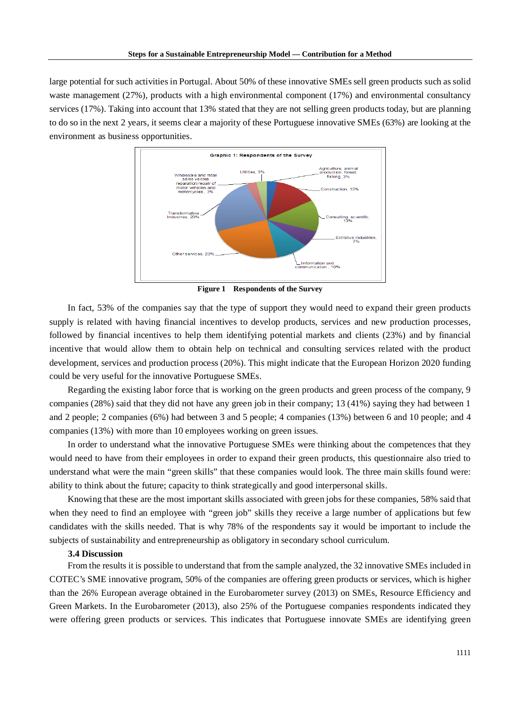large potential for such activities in Portugal. About 50% of these innovative SMEs sell green products such as solid waste management (27%), products with a high environmental component (17%) and environmental consultancy services (17%). Taking into account that 13% stated that they are not selling green products today, but are planning to do so in the next 2 years, it seems clear a majority of these Portuguese innovative SMEs (63%) are looking at the environment as business opportunities.



**Figure 1 Respondents of the Survey**

In fact, 53% of the companies say that the type of support they would need to expand their green products supply is related with having financial incentives to develop products, services and new production processes, followed by financial incentives to help them identifying potential markets and clients (23%) and by financial incentive that would allow them to obtain help on technical and consulting services related with the product development, services and production process (20%). This might indicate that the European Horizon 2020 funding could be very useful for the innovative Portuguese SMEs.

Regarding the existing labor force that is working on the green products and green process of the company, 9 companies (28%) said that they did not have any green job in their company; 13 (41%) saying they had between 1 and 2 people; 2 companies (6%) had between 3 and 5 people; 4 companies (13%) between 6 and 10 people; and 4 companies (13%) with more than 10 employees working on green issues.

In order to understand what the innovative Portuguese SMEs were thinking about the competences that they would need to have from their employees in order to expand their green products, this questionnaire also tried to understand what were the main "green skills" that these companies would look. The three main skills found were: ability to think about the future; capacity to think strategically and good interpersonal skills.

Knowing that these are the most important skills associated with green jobs for these companies, 58% said that when they need to find an employee with "green job" skills they receive a large number of applications but few candidates with the skills needed. That is why 78% of the respondents say it would be important to include the subjects of sustainability and entrepreneurship as obligatory in secondary school curriculum.

### **3.4 Discussion**

From the results it is possible to understand that from the sample analyzed, the 32 innovative SMEs included in COTEC's SME innovative program, 50% of the companies are offering green products or services, which is higher than the 26% European average obtained in the Eurobarometer survey (2013) on SMEs, Resource Efficiency and Green Markets. In the Eurobarometer (2013), also 25% of the Portuguese companies respondents indicated they were offering green products or services. This indicates that Portuguese innovate SMEs are identifying green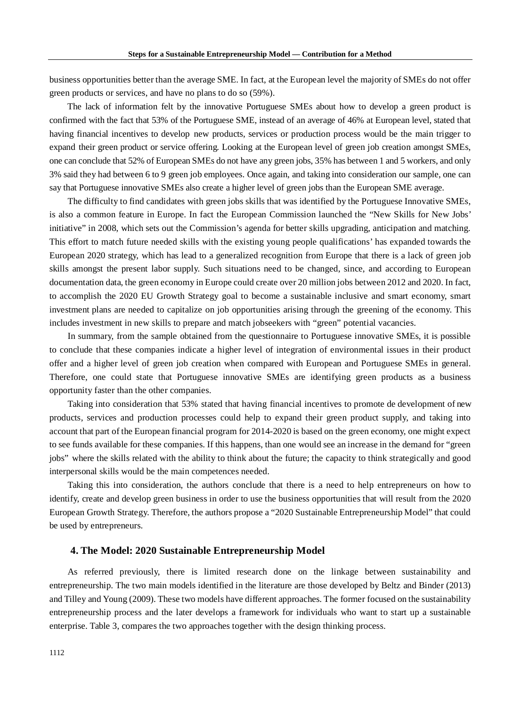business opportunities better than the average SME. In fact, at the European level the majority of SMEs do not offer green products or services, and have no plans to do so (59%).

The lack of information felt by the innovative Portuguese SMEs about how to develop a green product is confirmed with the fact that 53% of the Portuguese SME, instead of an average of 46% at European level, stated that having financial incentives to develop new products, services or production process would be the main trigger to expand their green product or service offering. Looking at the European level of green job creation amongst SMEs, one can conclude that 52% of European SMEs do not have any green jobs, 35% has between 1 and 5 workers, and only 3% said they had between 6 to 9 green job employees. Once again, and taking into consideration our sample, one can say that Portuguese innovative SMEs also create a higher level of green jobs than the European SME average.

The difficulty to find candidates with green jobs skills that was identified by the Portuguese Innovative SMEs, is also a common feature in Europe. In fact the European Commission launched the "New Skills for New Jobs' initiative" in 2008, which sets out the Commission's agenda for better skills upgrading, anticipation and matching. This effort to match future needed skills with the existing young people qualifications' has expanded towards the European 2020 strategy, which has lead to a generalized recognition from Europe that there is a lack of green job skills amongst the present labor supply. Such situations need to be changed, since, and according to European documentation data, the green economy in Europe could create over 20 million jobs between 2012 and 2020. In fact, to accomplish the 2020 EU Growth Strategy goal to become a sustainable inclusive and smart economy, smart investment plans are needed to capitalize on job opportunities arising through the greening of the economy. This includes investment in new skills to prepare and match jobseekers with "green" potential vacancies.

In summary, from the sample obtained from the questionnaire to Portuguese innovative SMEs, it is possible to conclude that these companies indicate a higher level of integration of environmental issues in their product offer and a higher level of green job creation when compared with European and Portuguese SMEs in general. Therefore, one could state that Portuguese innovative SMEs are identifying green products as a business opportunity faster than the other companies.

Taking into consideration that 53% stated that having financial incentives to promote de development of new products, services and production processes could help to expand their green product supply, and taking into account that part of the European financial program for 2014-2020 is based on the green economy, one might expect to see funds available for these companies. If this happens, than one would see an increase in the demand for "green jobs" where the skills related with the ability to think about the future; the capacity to think strategically and good interpersonal skills would be the main competences needed.

Taking this into consideration, the authors conclude that there is a need to help entrepreneurs on how to identify, create and develop green business in order to use the business opportunities that will result from the 2020 European Growth Strategy. Therefore, the authors propose a "2020 Sustainable Entrepreneurship Model" that could be used by entrepreneurs.

## **4. The Model: 2020 Sustainable Entrepreneurship Model**

As referred previously, there is limited research done on the linkage between sustainability and entrepreneurship. The two main models identified in the literature are those developed by Beltz and Binder (2013) and Tilley and Young (2009). These two models have different approaches. The former focused on the sustainability entrepreneurship process and the later develops a framework for individuals who want to start up a sustainable enterprise. Table 3, compares the two approaches together with the design thinking process.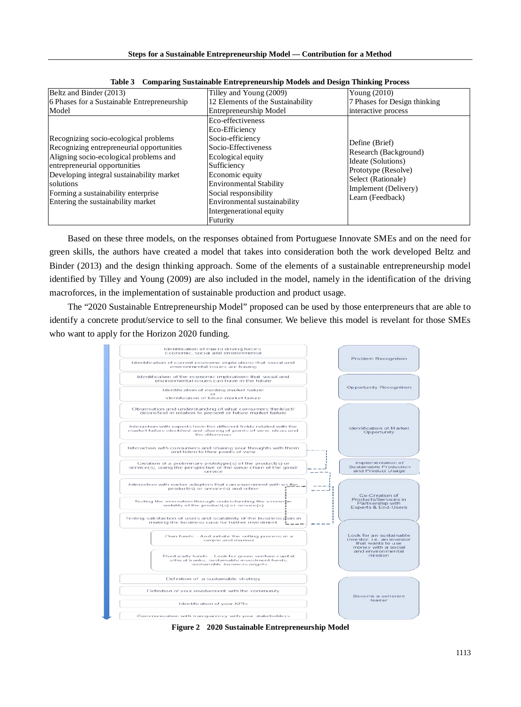| 12 Elements of the Sustainability                                                                                                                                                                                                                            | 7 Phases for Design thinking                                                                                                                           |
|--------------------------------------------------------------------------------------------------------------------------------------------------------------------------------------------------------------------------------------------------------------|--------------------------------------------------------------------------------------------------------------------------------------------------------|
| Entrepreneurship Model                                                                                                                                                                                                                                       | interactive process                                                                                                                                    |
| Eco-effectiveness<br>Eco-Efficiency<br>Socio-efficiency<br>Socio-Effectiveness<br>Ecological equity<br>Sufficiency<br>Economic equity<br><b>Environmental Stability</b><br>Social responsibility<br>Environmental sustainability<br>Intergenerational equity | Define (Brief)<br>Research (Background)<br>Ideate (Solutions)<br>Prototype (Resolve)<br>Select (Rationale)<br>Implement (Delivery)<br>Learn (Feedback) |
|                                                                                                                                                                                                                                                              | Futurity                                                                                                                                               |

|  | Table 3 Comparing Sustainable Entrepreneurship Models and Design Thinking Process |
|--|-----------------------------------------------------------------------------------|
|  |                                                                                   |

Based on these three models, on the responses obtained from Portuguese Innovate SMEs and on the need for green skills, the authors have created a model that takes into consideration both the work developed Beltz and Binder (2013) and the design thinking approach. Some of the elements of a sustainable entrepreneurship model identified by Tilley and Young (2009) are also included in the model, namely in the identification of the driving macroforces, in the implementation of sustainable production and product usage.

The "2020 Sustainable Entrepreneurship Model" proposed can be used by those enterpreneurs that are able to identify a concrete produt/service to sell to the final consumer. We believe this model is revelant for those SMEs who want to apply for the Horizon 2020 funding*.*



**Figure 2 2020 Sustainable Entrepreneurship Model**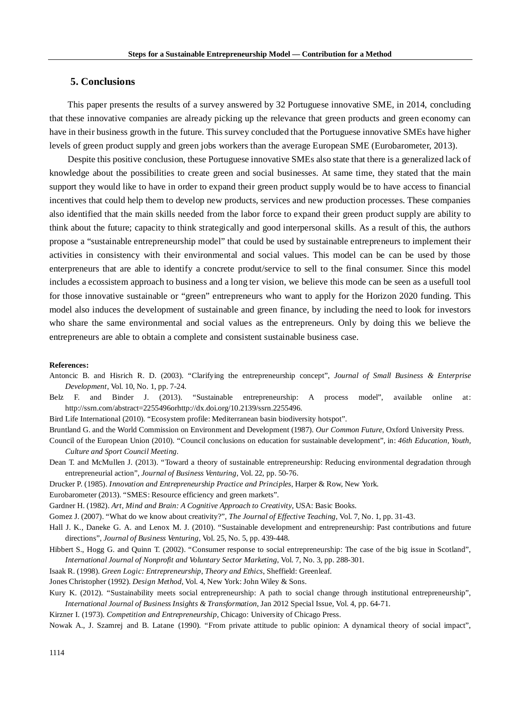## **5. Conclusions**

This paper presents the results of a survey answered by 32 Portuguese innovative SME, in 2014, concluding that these innovative companies are already picking up the relevance that green products and green economy can have in their business growth in the future. This survey concluded that the Portuguese innovative SMEs have higher levels of green product supply and green jobs workers than the average European SME (Eurobarometer, 2013).

Despite this positive conclusion, these Portuguese innovative SMEs also state that there is a generalized lack of knowledge about the possibilities to create green and social businesses. At same time, they stated that the main support they would like to have in order to expand their green product supply would be to have access to financial incentives that could help them to develop new products, services and new production processes. These companies also identified that the main skills needed from the labor force to expand their green product supply are ability to think about the future; capacity to think strategically and good interpersonal skills. As a result of this, the authors propose a "sustainable entrepreneurship model" that could be used by sustainable entrepreneurs to implement their activities in consistency with their environmental and social values. This model can be can be used by those enterpreneurs that are able to identify a concrete produt/service to sell to the final consumer. Since this model includes a ecossistem approach to business and a long ter vision, we believe this mode can be seen as a usefull tool for those innovative sustainable or "green" entrepreneurs who want to apply for the Horizon 2020 funding. This model also induces the development of sustainable and green finance, by including the need to look for investors who share the same environmental and social values as the entrepreneurs. Only by doing this we believe the entrepreneurs are able to obtain a complete and consistent sustainable business case.

#### **References:**

- Antoncic B. and Hisrich R. D. (2003). "Clarifying the entrepreneurship concept", *Journal of Small Business & Enterprise Development*, Vol. 10, No. 1, pp. 7-24.
- Belz F. and Binder J. (2013). "Sustainable entrepreneurship: A process model", available online at: http://ssrn.com/abstract=2255496o[rhttp://dx.doi.org/10.2139/ssrn.2255496.](http://dx.doi.org/10.2139/ssrn.2255496)

Bird Life International (2010). "Ecosystem profile: Mediterranean basin biodiversity hotspot".

Bruntland G. and the World Commission on Environment and Development (1987). *Our Common Future*, Oxford University Press*.*

- Council of the European Union (2010). "Council conclusions on education for sustainable development", in: *46th Education, Youth, Culture and Sport Council Meeting*.
- Dean T. and McMullen J. (2013). "Toward a theory of sustainable entrepreneurship: Reducing environmental degradation through entrepreneurial action", *Journal of Business Venturing*, Vol. 22, pp. 50-76.
- Drucker P. (1985). *Innovation and Entrepreneurship Practice and Principles*, Harper & Row, New York*.*
- Eurobarometer (2013). "SMES: Resource efficiency and green markets".

- Gomez J. (2007). "What do we know about creativity?", *The Journal of Effective Teaching*, Vol. 7, No. 1, pp. 31-43.
- Hall J. K., Daneke G. A. and Lenox M. J. (2010). "Sustainable development and entrepreneurship: Past contributions and future directions", *Journal of Business Venturing*, Vol. 25, No. 5, pp. 439-448.
- Hibbert S., Hogg G. and Quinn T. (2002). "Consumer response to social entrepreneurship: The case of the big issue in Scotland", *International Journal of Nonprofit and Voluntary Sector Marketing*, Vol. 7, No. 3, pp. 288-301.

Isaak R. (1998). *Green Logic: Entrepreneurship*, *Theory and Ethics*, Sheffield: Greenleaf*.*

- Jones Christopher (1992). *Design Method*, Vol. 4, New York: John Wiley & Sons.
- Kury K. (2012). "Sustainability meets social entrepreneurship: A path to social change through institutional entrepreneurship", *International Journal of Business Insights & Transformation*, Jan 2012 Special Issue, Vol. 4, pp. 64-71.

Kirzner I. (1973). *Competition and Entrepreneurship*, Chicago: University of Chicago Press.

Nowak A., J. Szamrej and B. Latane (1990). "From private attitude to public opinion: A dynamical theory of social impact",

Gardner H. (1982). *Art, Mind and Brain: A Cognitive Approach to Creativity*, USA: Basic Books*.*